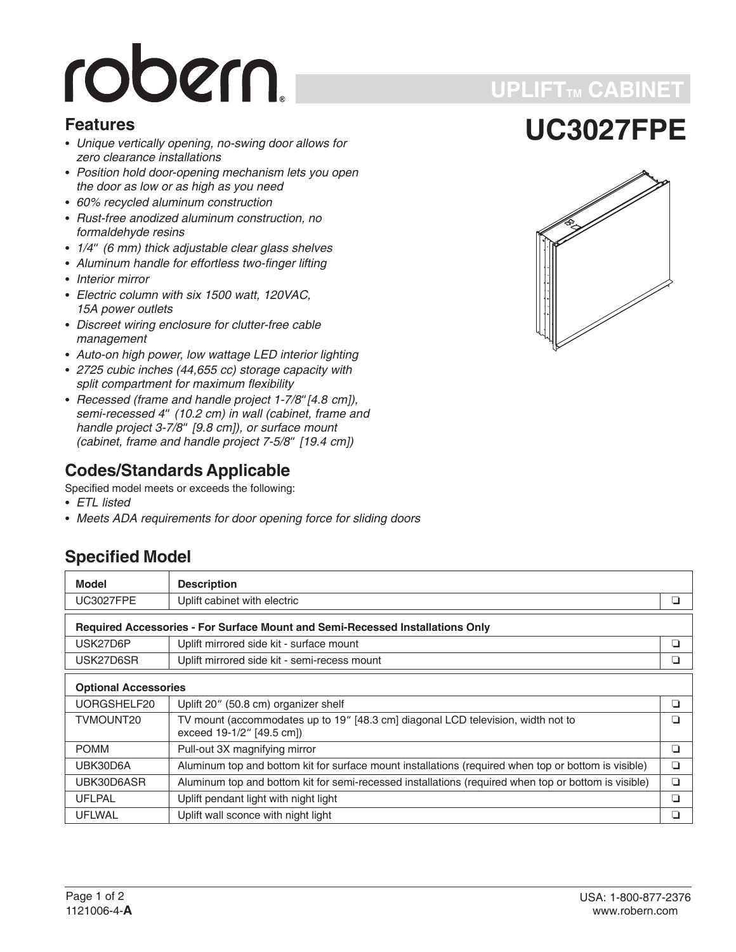# robern.

#### **Features**

- *Unique vertically opening, no-swing door allows for zero clearance installations*
- *Position hold door-opening mechanism lets you open the door as low or as high as you need*
- *60% recycled aluminum construction*
- *Rust-free anodized aluminum construction, no formaldehyde resins* • Hust-free anodized aluminum construction, no<br>formaldehyde resins<br>• 1/4" (6 mm) thick adjustable clear glass shelves
- 
- *Aluminum handle for effortless two-finger lifting* -
- *Interior mirror* -
- *Electric column with six 1500 watt, 120VAC, 15A power outlets*
- *Discreet wiring enclosure for clutter-free cable management*
- *Auto-on high power, low wattage LED interior lighting* -
- *2725 cubic inches (44,655 cc) storage capacity with split compartment for maximum flexibility* • *2725 cubic incnes (44,655 cc) storage capacity with*<br>split compartment for maximum flexibility<br>• Recessed (frame and handle project 1-7/8" [4.8 cm]),
- *spiit compartment<br>Recessed (frame<br>semi-recessed 4" (10.2 cm) in wall (cabinet, frame and Hecessed (trame and<br>semi-recessed 4" (1)<br>handle project 3-7/8" [9.8 cm]), or surface mount semi-recessed 4" (10.2 cm) in wall (cabir<br>handle project 3-7/8" [9.8 cm]), or surfact<br>(cabinet, frame and handle project 7-5/8" (cabinet, frame and handle project 7-5/8" [19.4 cm])*

## **Codes/Standards Applicable**

Specified model meets or exceeds the following:

- *ETL listed*
- *Meets ADA requirements for door opening force for sliding doors*

## **Specified Model**

| <b>Model</b><br><b>Description</b>                                            |                                                                                                               |     |  |
|-------------------------------------------------------------------------------|---------------------------------------------------------------------------------------------------------------|-----|--|
| <b>UC3027FPE</b>                                                              | Uplift cabinet with electric                                                                                  | ப   |  |
|                                                                               |                                                                                                               |     |  |
| Required Accessories - For Surface Mount and Semi-Recessed Installations Only |                                                                                                               |     |  |
| USK27D6P                                                                      | Uplift mirrored side kit - surface mount                                                                      | ◘   |  |
| USK27D6SR                                                                     | Uplift mirrored side kit - semi-recess mount                                                                  |     |  |
| <b>Optional Accessories</b>                                                   |                                                                                                               |     |  |
| UORGSHELF20                                                                   | Uplift 20" (50.8 cm) organizer shelf                                                                          | ▫   |  |
| TVMOUNT20                                                                     | TV mount (accommodates up to 19" [48.3 cm] diagonal LCD television, width not to<br>exceed 19-1/2" [49.5 cm]) | l I |  |
| <b>POMM</b>                                                                   | Pull-out 3X magnifying mirror                                                                                 | ❏   |  |
| UBK30D6A                                                                      | Aluminum top and bottom kit for surface mount installations (required when top or bottom is visible)          | ⊔   |  |
| UBK30D6ASR                                                                    | Aluminum top and bottom kit for semi-recessed installations (required when top or bottom is visible)          | ◘   |  |
| <b>UFLPAL</b>                                                                 | Uplift pendant light with night light                                                                         | ▫   |  |
| <b>UFLWAL</b>                                                                 | Uplift wall sconce with night light                                                                           |     |  |

## **UPLIFTTM CABINET**